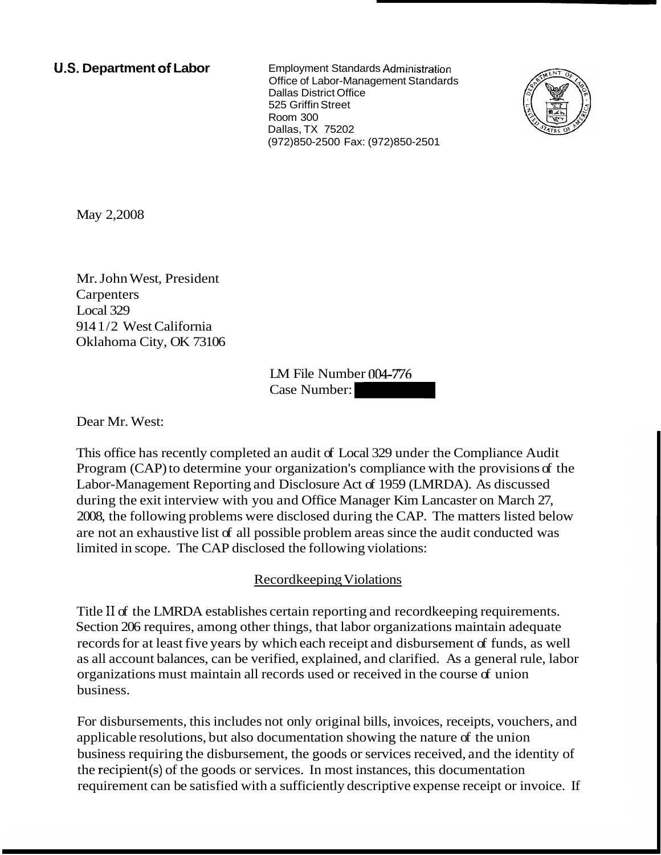**U.S. Department of Labor Employment Standards Administration** Office of Labor-Management Standards Dallas District Office 525 Griffin Street Room 300 Dallas, TX 75202 (972)850-2500 Fax: (972)850-2501



May 2,2008

Mr. John West, President **Carpenters** Local 329 914 1/2 West California Oklahoma City, OK 73106 LM File Number 004-776 LM File Number  $004-776$ <br>Case Number:  $\begin{bmatrix} 0 & 0 & 0 \\ 0 & 0 & 0 \\ 0 & 0 & 0 \end{bmatrix}$ 

Dear Mr. West:

This office has recently completed an audit of Local 329 under the Compliance Audit Program (CAP) to determine your organization's compliance with the provisions of the Labor-Management Reporting and Disclosure Act of 1959 (LMRDA). As discussed during the exit interview with you and Office Manager Kim Lancaster on March 27, 2008, the following problems were disclosed during the CAP. The matters listed below are not an exhaustive list of all possible problem areas since the audit conducted was limited in scope. The CAP disclosed the following violations:

# Recordkeeping Violations

Title I1 of the LMRDA establishes certain reporting and recordkeeping requirements. Section 206 requires, among other things, that labor organizations maintain adequate records for at least five years by which each receipt and disbursement of funds, as well as all account balances, can be verified, explained, and clarified. As a general rule, labor organizations must maintain all records used or received in the course of union business.

For disbursements, this includes not only original bills, invoices, receipts, vouchers, and applicable resolutions, but also documentation showing the nature of the union business requiring the disbursement, the goods or services received, and the identity of the recipient(s) of the goods or services. In most instances, this documentation requirement can be satisfied with a sufficiently descriptive expense receipt or invoice. If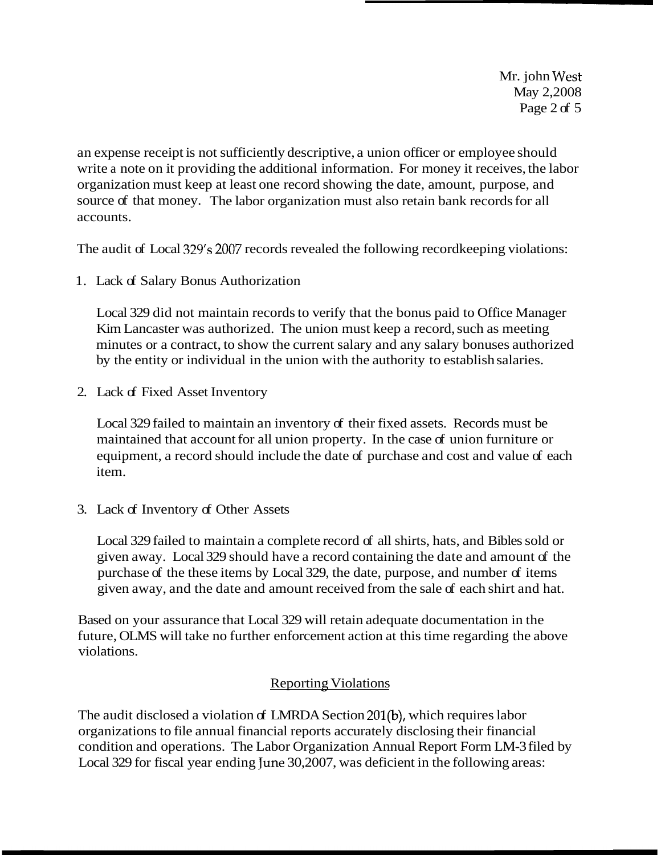Mr. john West May 2,2008 Page 2 of 5

an expense receipt is not sufficiently descriptive, a union officer or employee should write a note on it providing the additional information. For money it receives, the labor organization must keep at least one record showing the date, amount, purpose, and source of that money. The labor organization must also retain bank records for all accounts.

The audit of Local 329's 2007 records revealed the following recordkeeping violations:

1. Lack of Salary Bonus Authorization

Local 329 did not maintain records to verify that the bonus paid to Office Manager Kim Lancaster was authorized. The union must keep a record, such as meeting minutes or a contract, to show the current salary and any salary bonuses authorized by the entity or individual in the union with the authority to establish salaries.

2. Lack of Fixed Asset Inventory

Local 329 failed to maintain an inventory of their fixed assets. Records must be maintained that account for all union property. In the case of union furniture or equipment, a record should include the date of purchase and cost and value of each item.

3. Lack of Inventory of Other Assets

Local 329 failed to maintain a complete record of all shirts, hats, and Bibles sold or given away. Local 329 should have a record containing the date and amount of the purchase of the these items by Local 329, the date, purpose, and number of items given away, and the date and amount received from the sale of each shirt and hat.

Based on your assurance that Local 329 will retain adequate documentation in the future, OLMS will take no further enforcement action at this time regarding the above violations.

# Reporting Violations

The audit disclosed a violation of LMRDA Section 201(b), which requires labor organizations to file annual financial reports accurately disclosing their financial condition and operations. The Labor Organization Annual Report Form LM-3 filed by Local 329 for fiscal year ending June 30,2007, was deficient in the following areas: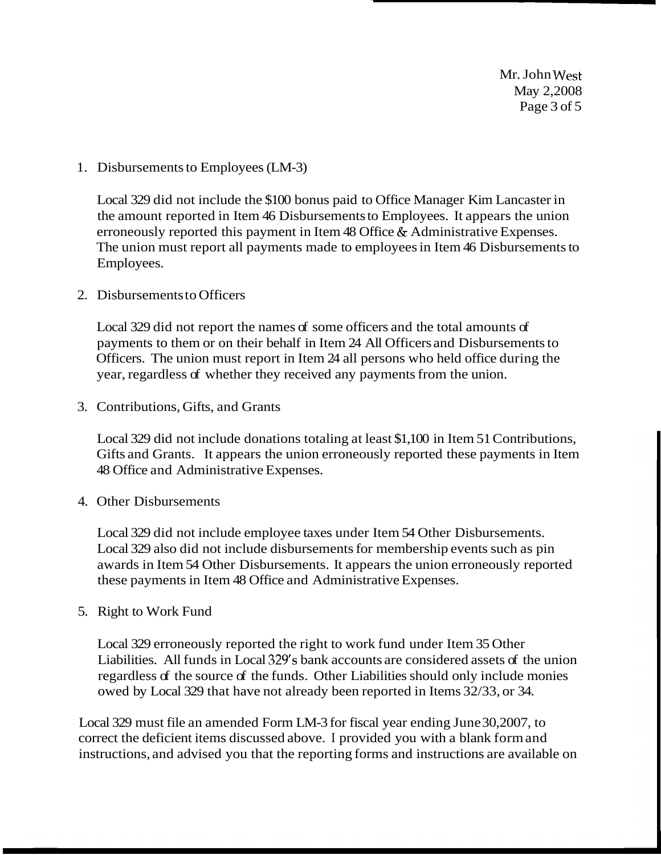Mr. John West May 2,2008 Page 3 of 5

### 1. Disbursements to Employees (LM-3)

Local 329 did not include the \$100 bonus paid to Office Manager Kim Lancaster in the amount reported in Item 46 Disbursements to Employees. It appears the union erroneously reported this payment in Item 48 Office & Administrative Expenses. The union must report all payments made to employees in Item 46 Disbursements to Employees.

### 2. Disbursements to Officers

Local 329 did not report the names of some officers and the total amounts of payments to them or on their behalf in Item 24 All Officers and Disbursements to Officers. The union must report in Item 24 all persons who held office during the year, regardless of whether they received any payments from the union.

3. Contributions, Gifts, and Grants

Local 329 did not include donations totaling at least \$1,100 in Item 51 Contributions, Gifts and Grants. It appears the union erroneously reported these payments in Item 48 Office and Administrative Expenses.

#### 4. Other Disbursements

Local 329 did not include employee taxes under Item 54 Other Disbursements. Local 329 also did not include disbursements for membership events such as pin awards in Item 54 Other Disbursements. It appears the union erroneously reported these payments in Item 48 Office and Administrative Expenses.

### 5. Right to Work Fund

Local 329 erroneously reported the right to work fund under Item 35 Other Liabilities. All funds in Local 329's bank accounts are considered assets of the union regardless of the source of the funds. Other Liabilities should only include monies owed by Local 329 that have not already been reported in Items 32/33, or 34.

Local 329 must file an amended Form LM-3 for fiscal year ending June 30,2007, to correct the deficient items discussed above. I provided you with a blank form and instructions, and advised you that the reporting forms and instructions are available on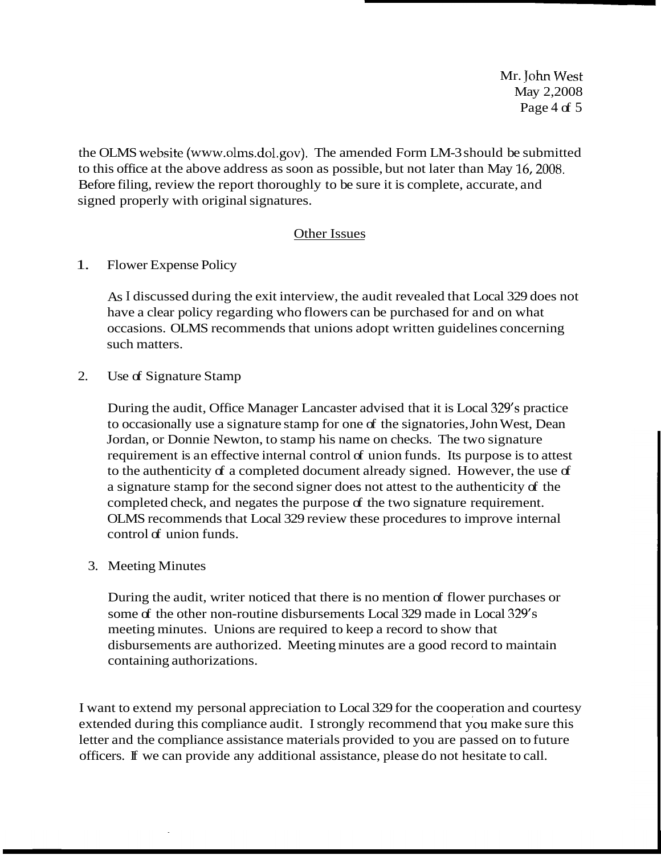Mr. John West May 2,2008 Page 4 of  $5$ 

the OLMS website (www.olms.dol.gov). The amended Form LM-3 should be submitted to this office at the above address as soon as possible, but not later than May 16,2008. Before filing, review the report thoroughly to be sure it is complete, accurate, and signed properly with original signatures.

### Other Issues

1. Flower Expense Policy

As I discussed during the exit interview, the audit revealed that Local 329 does not have a clear policy regarding who flowers can be purchased for and on what occasions. OLMS recommends that unions adopt written guidelines concerning such matters.

2. Use of Signature Stamp

During the audit, Office Manager Lancaster advised that it is Local 329's practice to occasionally use a signature stamp for one of the signatories, John West, Dean Jordan, or Donnie Newton, to stamp his name on checks. The two signature requirement is an effective internal control of union funds. Its purpose is to attest to the authenticity of a completed document already signed. However, the use of a signature stamp for the second signer does not attest to the authenticity of the completed check, and negates the purpose of the two signature requirement. OLMS recommends that Local 329 review these procedures to improve internal control of union funds.

3. Meeting Minutes

During the audit, writer noticed that there is no mention of flower purchases or some of the other non-routine disbursements Local 329 made in Local 329's meeting minutes. Unions are required to keep a record to show that disbursements are authorized. Meeting minutes are a good record to maintain containing authorizations.

I want to extend my personal appreciation to Local 329 for the cooperation and courtesy extended during this compliance audit. I strongly recommend that you make sure this letter and the compliance assistance materials provided to you are passed on to future officers. If we can provide any additional assistance, please do not hesitate to call.